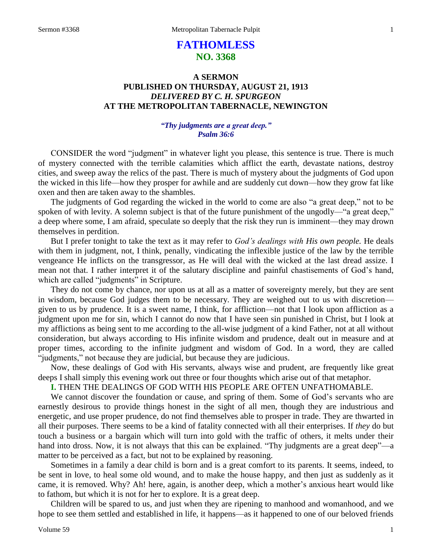# **FATHOMLESS NO. 3368**

## **A SERMON PUBLISHED ON THURSDAY, AUGUST 21, 1913** *DELIVERED BY C. H. SPURGEON* **AT THE METROPOLITAN TABERNACLE, NEWINGTON**

## *"Thy judgments are a great deep." Psalm 36:6*

CONSIDER the word "judgment" in whatever light you please, this sentence is true. There is much of mystery connected with the terrible calamities which afflict the earth, devastate nations, destroy cities, and sweep away the relics of the past. There is much of mystery about the judgments of God upon the wicked in this life—how they prosper for awhile and are suddenly cut down—how they grow fat like oxen and then are taken away to the shambles.

The judgments of God regarding the wicked in the world to come are also "a great deep," not to be spoken of with levity. A solemn subject is that of the future punishment of the ungodly—"a great deep," a deep where some, I am afraid, speculate so deeply that the risk they run is imminent—they may drown themselves in perdition.

But I prefer tonight to take the text as it may refer to *God's dealings with His own people.* He deals with them in judgment, not, I think, penally, vindicating the inflexible justice of the law by the terrible vengeance He inflicts on the transgressor, as He will deal with the wicked at the last dread assize. I mean not that. I rather interpret it of the salutary discipline and painful chastisements of God's hand, which are called "judgments" in Scripture.

They do not come by chance, nor upon us at all as a matter of sovereignty merely, but they are sent in wisdom, because God judges them to be necessary. They are weighed out to us with discretion given to us by prudence. It is a sweet name, I think, for affliction—not that I look upon affliction as a judgment upon me for sin, which I cannot do now that I have seen sin punished in Christ, but I look at my afflictions as being sent to me according to the all-wise judgment of a kind Father, not at all without consideration, but always according to His infinite wisdom and prudence, dealt out in measure and at proper times, according to the infinite judgment and wisdom of God. In a word, they are called "judgments," not because they are judicial, but because they are judicious.

Now, these dealings of God with His servants, always wise and prudent, are frequently like great deeps I shall simply this evening work out three or four thoughts which arise out of that metaphor.

## **I.** THEN THE DEALINGS OF GOD WITH HIS PEOPLE ARE OFTEN UNFATHOMABLE.

We cannot discover the foundation or cause, and spring of them. Some of God's servants who are earnestly desirous to provide things honest in the sight of all men, though they are industrious and energetic, and use proper prudence, do not find themselves able to prosper in trade. They are thwarted in all their purposes. There seems to be a kind of fatality connected with all their enterprises. If *they* do but touch a business or a bargain which will turn into gold with the traffic of others, it melts under their hand into dross. Now, it is not always that this can be explained. "Thy judgments are a great deep"—a matter to be perceived as a fact, but not to be explained by reasoning.

Sometimes in a family a dear child is born and is a great comfort to its parents. It seems, indeed, to be sent in love, to heal some old wound, and to make the house happy, and then just as suddenly as it came, it is removed. Why? Ah! here, again, is another deep, which a mother's anxious heart would like to fathom, but which it is not for her to explore. It is a great deep.

Children will be spared to us, and just when they are ripening to manhood and womanhood, and we hope to see them settled and established in life, it happens—as it happened to one of our beloved friends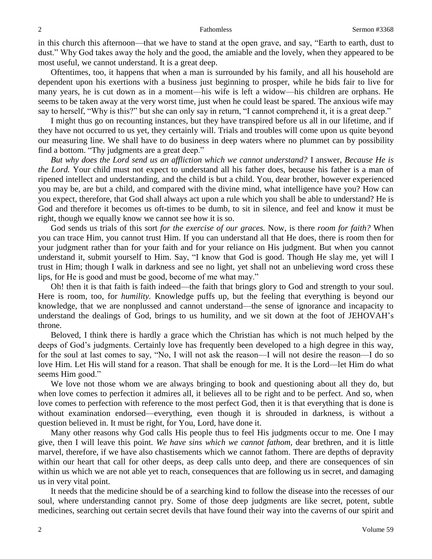in this church this afternoon—that we have to stand at the open grave, and say, "Earth to earth, dust to dust." Why God takes away the holy and the good, the amiable and the lovely, when they appeared to be most useful, we cannot understand. It is a great deep.

Oftentimes, too, it happens that when a man is surrounded by his family, and all his household are dependent upon his exertions with a business just beginning to prosper, while he bids fair to live for many years, he is cut down as in a moment—his wife is left a widow—his children are orphans. He seems to be taken away at the very worst time, just when he could least be spared. The anxious wife may say to herself, "Why is this?" but she can only say in return, "I cannot comprehend it, it is a great deep."

I might thus go on recounting instances, but they have transpired before us all in our lifetime, and if they have not occurred to us yet, they certainly will. Trials and troubles will come upon us quite beyond our measuring line. We shall have to do business in deep waters where no plummet can by possibility find a bottom. "Thy judgments are a great deep."

*But why does the Lord send us an affliction which we cannot understand?* I answer, *Because He is the Lord.* Your child must not expect to understand all his father does, because his father is a man of ripened intellect and understanding, and the child is but a child. You, dear brother, however experienced you may be, are but a child, and compared with the divine mind, what intelligence have you? How can you expect, therefore, that God shall always act upon a rule which you shall be able to understand? He is God and therefore it becomes us oft-times to be dumb, to sit in silence, and feel and know it must be right, though we equally know we cannot see how it is so.

God sends us trials of this sort *for the exercise of our graces.* Now, is there *room for faith?* When you can trace Him, you cannot trust Him. If you can understand all that He does, there is room then for your judgment rather than for your faith and for your reliance on His judgment. But when you cannot understand it, submit yourself to Him. Say, "I know that God is good. Though He slay me, yet will I trust in Him; though I walk in darkness and see no light, yet shall not an unbelieving word cross these lips, for He is good and must be good, become of me what may."

Oh! then it is that faith is faith indeed—the faith that brings glory to God and strength to your soul. Here is room, too, for *humility.* Knowledge puffs up, but the feeling that everything is beyond our knowledge, that we are nonplussed and cannot understand—the sense of ignorance and incapacity to understand the dealings of God, brings to us humility, and we sit down at the foot of JEHOVAH's throne.

Beloved, I think there is hardly a grace which the Christian has which is not much helped by the deeps of God's judgments. Certainly love has frequently been developed to a high degree in this way, for the soul at last comes to say, "No, I will not ask the reason—I will not desire the reason—I do so love Him. Let His will stand for a reason. That shall be enough for me. It is the Lord—let Him do what seems Him good."

We love not those whom we are always bringing to book and questioning about all they do, but when love comes to perfection it admires all, it believes all to be right and to be perfect. And so, when love comes to perfection with reference to the most perfect God, then it is that everything that is done is without examination endorsed—everything, even though it is shrouded in darkness, is without a question believed in. It must be right, for You, Lord, have done it.

Many other reasons why God calls His people thus to feel His judgments occur to me. One I may give, then I will leave this point. *We have sins which we cannot fathom,* dear brethren, and it is little marvel, therefore, if we have also chastisements which we cannot fathom. There are depths of depravity within our heart that call for other deeps, as deep calls unto deep, and there are consequences of sin within us which we are not able yet to reach, consequences that are following us in secret, and damaging us in very vital point.

It needs that the medicine should be of a searching kind to follow the disease into the recesses of our soul, where understanding cannot pry. Some of those deep judgments are like secret, potent, subtle medicines, searching out certain secret devils that have found their way into the caverns of our spirit and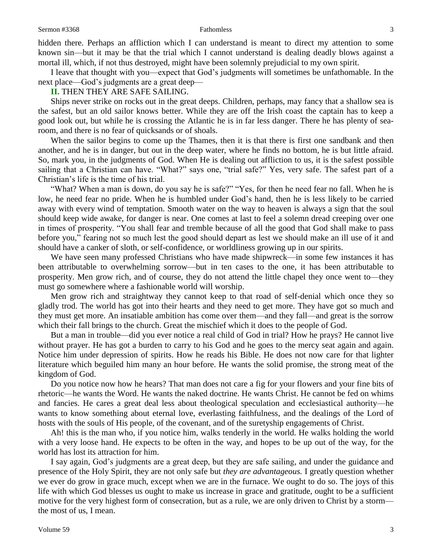### Sermon #3368 3 and 3368 Sermon #3368 3 and 3368 Sermon #3368 3 3 and 34 and 34 and 35 and 35 and 35 and 35 and 35 and 35 and 35 and 35 and 36 and 36 and 36 and 36 and 36 and 36 and 36 and 36 and 36 and 36 and 36 and 36 and

hidden there. Perhaps an affliction which I can understand is meant to direct my attention to some known sin—but it may be that the trial which I cannot understand is dealing deadly blows against a mortal ill, which, if not thus destroyed, might have been solemnly prejudicial to my own spirit.

I leave that thought with you—expect that God's judgments will sometimes be unfathomable. In the next place—God's judgments are a great deep—

**II.** THEN THEY ARE SAFE SAILING.

Ships never strike on rocks out in the great deeps. Children, perhaps, may fancy that a shallow sea is the safest, but an old sailor knows better. While they are off the Irish coast the captain has to keep a good look out, but while he is crossing the Atlantic he is in far less danger. There he has plenty of searoom, and there is no fear of quicksands or of shoals.

When the sailor begins to come up the Thames, then it is that there is first one sandbank and then another, and he is in danger, but out in the deep water, where he finds no bottom, he is but little afraid. So, mark you, in the judgments of God. When He is dealing out affliction to us, it is the safest possible sailing that a Christian can have. "What?" says one, "trial safe?" Yes, very safe. The safest part of a Christian's life is the time of his trial.

"What? When a man is down, do you say he is safe?" "Yes, for then he need fear no fall. When he is low, he need fear no pride. When he is humbled under God's hand, then he is less likely to be carried away with every wind of temptation. Smooth water on the way to heaven is always a sign that the soul should keep wide awake, for danger is near. One comes at last to feel a solemn dread creeping over one in times of prosperity. "You shall fear and tremble because of all the good that God shall make to pass before you," fearing not so much lest the good should depart as lest we should make an ill use of it and should have a canker of sloth, or self-confidence, or worldliness growing up in our spirits.

We have seen many professed Christians who have made shipwreck—in some few instances it has been attributable to overwhelming sorrow—but in ten cases to the one, it has been attributable to prosperity. Men grow rich, and of course, they do not attend the little chapel they once went to—they must go somewhere where a fashionable world will worship.

Men grow rich and straightway they cannot keep to that road of self-denial which once they so gladly trod. The world has got into their hearts and they need to get more. They have got so much and they must get more. An insatiable ambition has come over them—and they fall—and great is the sorrow which their fall brings to the church. Great the mischief which it does to the people of God.

But a man in trouble—did you ever notice a real child of God in trial? How he prays? He cannot live without prayer. He has got a burden to carry to his God and he goes to the mercy seat again and again. Notice him under depression of spirits. How he reads his Bible. He does not now care for that lighter literature which beguiled him many an hour before. He wants the solid promise, the strong meat of the kingdom of God.

Do you notice now how he hears? That man does not care a fig for your flowers and your fine bits of rhetoric—he wants the Word. He wants the naked doctrine. He wants Christ. He cannot be fed on whims and fancies. He cares a great deal less about theological speculation and ecclesiastical authority—he wants to know something about eternal love, everlasting faithfulness, and the dealings of the Lord of hosts with the souls of His people, of the covenant, and of the suretyship engagements of Christ.

Ah! this is the man who, if you notice him, walks tenderly in the world. He walks holding the world with a very loose hand. He expects to be often in the way, and hopes to be up out of the way, for the world has lost its attraction for him.

I say again, God's judgments are a great deep, but they are safe sailing, and under the guidance and presence of the Holy Spirit, they are not only safe but *they are advantageous.* I greatly question whether we ever do grow in grace much, except when we are in the furnace. We ought to do so. The joys of this life with which God blesses us ought to make us increase in grace and gratitude, ought to be a sufficient motive for the very highest form of consecration, but as a rule, we are only driven to Christ by a storm the most of us, I mean.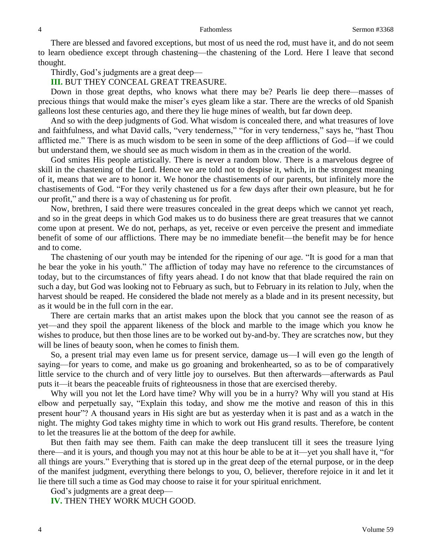There are blessed and favored exceptions, but most of us need the rod, must have it, and do not seem to learn obedience except through chastening—the chastening of the Lord. Here I leave that second thought.

Thirdly, God's judgments are a great deep—

### **III.** BUT THEY CONCEAL GREAT TREASURE.

Down in those great depths, who knows what there may be? Pearls lie deep there—masses of precious things that would make the miser's eyes gleam like a star. There are the wrecks of old Spanish galleons lost these centuries ago, and there they lie huge mines of wealth, but far down deep.

And so with the deep judgments of God. What wisdom is concealed there, and what treasures of love and faithfulness, and what David calls, "very tenderness," "for in very tenderness," says he, "hast Thou afflicted me." There is as much wisdom to be seen in some of the deep afflictions of God—if we could but understand them, we should see as much wisdom in them as in the creation of the world.

God smites His people artistically. There is never a random blow. There is a marvelous degree of skill in the chastening of the Lord. Hence we are told not to despise it, which, in the strongest meaning of it, means that we are to honor it. We honor the chastisements of our parents, but infinitely more the chastisements of God. "For they verily chastened us for a few days after their own pleasure, but he for our profit," and there is a way of chastening us for profit.

Now, brethren, I said there were treasures concealed in the great deeps which we cannot yet reach, and so in the great deeps in which God makes us to do business there are great treasures that we cannot come upon at present. We do not, perhaps, as yet, receive or even perceive the present and immediate benefit of some of our afflictions. There may be no immediate benefit—the benefit may be for hence and to come.

The chastening of our youth may be intended for the ripening of our age. "It is good for a man that he bear the yoke in his youth." The affliction of today may have no reference to the circumstances of today, but to the circumstances of fifty years ahead. I do not know that that blade required the rain on such a day, but God was looking not to February as such, but to February in its relation to July, when the harvest should be reaped. He considered the blade not merely as a blade and in its present necessity, but as it would be in the full corn in the ear.

There are certain marks that an artist makes upon the block that you cannot see the reason of as yet—and they spoil the apparent likeness of the block and marble to the image which you know he wishes to produce, but then those lines are to be worked out by-and-by. They are scratches now, but they will be lines of beauty soon, when he comes to finish them.

So, a present trial may even lame us for present service, damage us—I will even go the length of saying—for years to come, and make us go groaning and brokenhearted, so as to be of comparatively little service to the church and of very little joy to ourselves. But then afterwards—afterwards as Paul puts it—it bears the peaceable fruits of righteousness in those that are exercised thereby.

Why will you not let the Lord have time? Why will you be in a hurry? Why will you stand at His elbow and perpetually say, "Explain this today, and show me the motive and reason of this in this present hour"? A thousand years in His sight are but as yesterday when it is past and as a watch in the night. The mighty God takes mighty time in which to work out His grand results. Therefore, be content to let the treasures lie at the bottom of the deep for awhile.

But then faith may see them. Faith can make the deep translucent till it sees the treasure lying there—and it is yours, and though you may not at this hour be able to be at it—yet you shall have it, "for all things are yours." Everything that is stored up in the great deep of the eternal purpose, or in the deep of the manifest judgment, everything there belongs to you, O, believer, therefore rejoice in it and let it lie there till such a time as God may choose to raise it for your spiritual enrichment.

God's judgments are a great deep—

**IV.** THEN THEY WORK MUCH GOOD.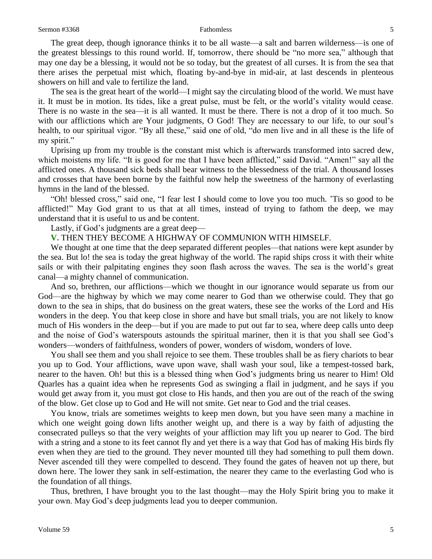The great deep, though ignorance thinks it to be all waste—a salt and barren wilderness—is one of the greatest blessings to this round world. If, tomorrow, there should be "no more sea," although that may one day be a blessing, it would not be so today, but the greatest of all curses. It is from the sea that there arises the perpetual mist which, floating by-and-bye in mid-air, at last descends in plenteous showers on hill and vale to fertilize the land.

The sea is the great heart of the world—I might say the circulating blood of the world. We must have it. It must be in motion. Its tides, like a great pulse, must be felt, or the world's vitality would cease. There is no waste in the sea—it is all wanted. It must be there. There is not a drop of it too much. So with our afflictions which are Your judgments, O God! They are necessary to our life, to our soul's health, to our spiritual vigor. "By all these," said one of old, "do men live and in all these is the life of my spirit."

Uprising up from my trouble is the constant mist which is afterwards transformed into sacred dew, which moistens my life. "It is good for me that I have been afflicted," said David. "Amen!" say all the afflicted ones. A thousand sick beds shall bear witness to the blessedness of the trial. A thousand losses and crosses that have been borne by the faithful now help the sweetness of the harmony of everlasting hymns in the land of the blessed.

"Oh! blessed cross," said one, "I fear lest I should come to love you too much. 'Tis so good to be afflicted!" May God grant to us that at all times, instead of trying to fathom the deep, we may understand that it is useful to us and be content.

Lastly, if God's judgments are a great deep—

**V.** THEN THEY BECOME A HIGHWAY OF COMMUNION WITH HIMSELF.

We thought at one time that the deep separated different peoples—that nations were kept asunder by the sea. But lo! the sea is today the great highway of the world. The rapid ships cross it with their white sails or with their palpitating engines they soon flash across the waves. The sea is the world's great canal—a mighty channel of communication.

And so, brethren, our afflictions—which we thought in our ignorance would separate us from our God—are the highway by which we may come nearer to God than we otherwise could. They that go down to the sea in ships, that do business on the great waters, these see the works of the Lord and His wonders in the deep. You that keep close in shore and have but small trials, you are not likely to know much of His wonders in the deep—but if you are made to put out far to sea, where deep calls unto deep and the noise of God's waterspouts astounds the spiritual mariner, then it is that you shall see God's wonders—wonders of faithfulness, wonders of power, wonders of wisdom, wonders of love.

You shall see them and you shall rejoice to see them. These troubles shall be as fiery chariots to bear you up to God. Your afflictions, wave upon wave, shall wash your soul, like a tempest-tossed bark, nearer to the haven. Oh! but this is a blessed thing when God's judgments bring us nearer to Him! Old Quarles has a quaint idea when he represents God as swinging a flail in judgment, and he says if you would get away from it, you must got close to His hands, and then you are out of the reach of the swing of the blow. Get close up to God and He will not smite. Get near to God and the trial ceases.

You know, trials are sometimes weights to keep men down, but you have seen many a machine in which one weight going down lifts another weight up, and there is a way by faith of adjusting the consecrated pulleys so that the very weights of your affliction may lift you up nearer to God. The bird with a string and a stone to its feet cannot fly and yet there is a way that God has of making His birds fly even when they are tied to the ground. They never mounted till they had something to pull them down. Never ascended till they were compelled to descend. They found the gates of heaven not up there, but down here. The lower they sank in self-estimation, the nearer they came to the everlasting God who is the foundation of all things.

Thus, brethren, I have brought you to the last thought—may the Holy Spirit bring you to make it your own. May God's deep judgments lead you to deeper communion.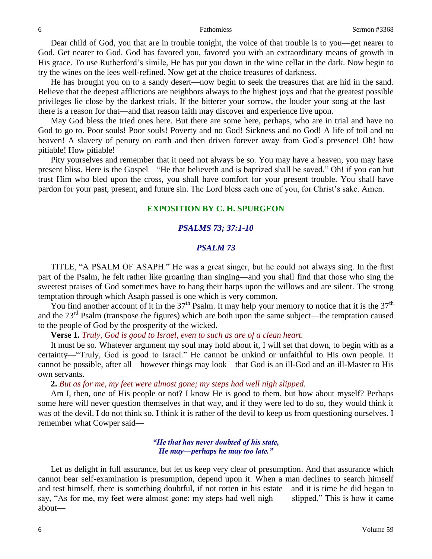Dear child of God, you that are in trouble tonight, the voice of that trouble is to you—get nearer to God. Get nearer to God. God has favored you, favored you with an extraordinary means of growth in His grace. To use Rutherford's simile, He has put you down in the wine cellar in the dark. Now begin to try the wines on the lees well-refined. Now get at the choice treasures of darkness.

He has brought you on to a sandy desert—now begin to seek the treasures that are hid in the sand. Believe that the deepest afflictions are neighbors always to the highest joys and that the greatest possible privileges lie close by the darkest trials. If the bitterer your sorrow, the louder your song at the last there is a reason for that—and that reason faith may discover and experience live upon.

May God bless the tried ones here. But there are some here, perhaps, who are in trial and have no God to go to. Poor souls! Poor souls! Poverty and no God! Sickness and no God! A life of toil and no heaven! A slavery of penury on earth and then driven forever away from God's presence! Oh! how pitiable! How pitiable!

Pity yourselves and remember that it need not always be so. You may have a heaven, you may have present bliss. Here is the Gospel—"He that believeth and is baptized shall be saved." Oh! if you can but trust Him who bled upon the cross, you shall have comfort for your present trouble. You shall have pardon for your past, present, and future sin. The Lord bless each one of you, for Christ's sake. Amen.

## **EXPOSITION BY C. H. SPURGEON**

### *PSALMS 73; 37:1-10*

### *PSALM 73*

TITLE, "A PSALM OF ASAPH." He was a great singer, but he could not always sing. In the first part of the Psalm, he felt rather like groaning than singing—and you shall find that those who sing the sweetest praises of God sometimes have to hang their harps upon the willows and are silent. The strong temptation through which Asaph passed is one which is very common.

You find another account of it in the  $37<sup>th</sup>$  Psalm. It may help your memory to notice that it is the  $37<sup>th</sup>$ and the 73rd Psalm (transpose the figures) which are both upon the same subject—the temptation caused to the people of God by the prosperity of the wicked.

**Verse 1.** *Truly, God is good to Israel, even to such as are of a clean heart.*

It must be so. Whatever argument my soul may hold about it, I will set that down, to begin with as a certainty—"Truly, God is good to Israel." He cannot be unkind or unfaithful to His own people. It cannot be possible, after all—however things may look—that God is an ill-God and an ill-Master to His own servants.

**2.** *But as for me, my feet were almost gone; my steps had well nigh slipped.* 

Am I, then, one of His people or not? I know He is good to them, but how about myself? Perhaps some here will never question themselves in that way, and if they were led to do so, they would think it was of the devil. I do not think so. I think it is rather of the devil to keep us from questioning ourselves. I remember what Cowper said—

> *"He that has never doubted of his state, He may—perhaps he may too late."*

Let us delight in full assurance, but let us keep very clear of presumption. And that assurance which cannot bear self-examination is presumption, depend upon it. When a man declines to search himself and test himself, there is something doubtful, if not rotten in his estate—and it is time he did began to say, "As for me, my feet were almost gone: my steps had well nigh slipped." This is how it came about—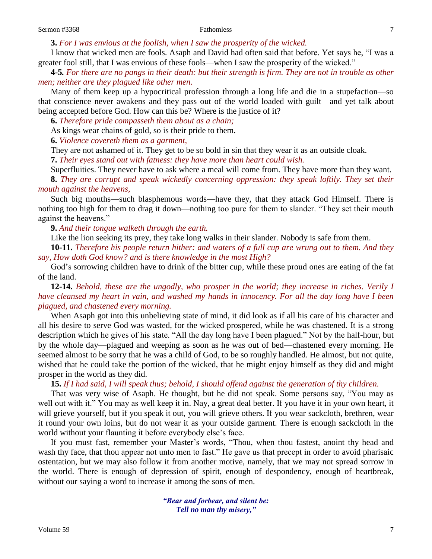**3.** *For I was envious at the foolish, when I saw the prosperity of the wicked.*

I know that wicked men are fools. Asaph and David had often said that before. Yet says he, "I was a greater fool still, that I was envious of these fools—when I saw the prosperity of the wicked."

**4-5***. For there are no pangs in their death: but their strength is firm. They are not in trouble as other men; neither are they plagued like other men.*

Many of them keep up a hypocritical profession through a long life and die in a stupefaction—so that conscience never awakens and they pass out of the world loaded with guilt—and yet talk about being accepted before God. How can this be? Where is the justice of it?

**6.** *Therefore pride compasseth them about as a chain;*

As kings wear chains of gold, so is their pride to them.

**6.** *Violence covereth them as a garment,*

They are not ashamed of it. They get to be so bold in sin that they wear it as an outside cloak.

**7.** *Their eyes stand out with fatness: they have more than heart could wish.*

Superfluities. They never have to ask where a meal will come from. They have more than they want.

**8.** *They are corrupt and speak wickedly concerning oppression: they speak loftily. They set their mouth against the heavens,*

Such big mouths—such blasphemous words—have they, that they attack God Himself. There is nothing too high for them to drag it down—nothing too pure for them to slander. "They set their mouth against the heavens."

**9.** *And their tongue walketh through the earth.*

Like the lion seeking its prey, they take long walks in their slander. Nobody is safe from them.

**10-11.** *Therefore his people return hither: and waters of a full cup are wrung out to them. And they say, How doth God know? and is there knowledge in the most High?*

God's sorrowing children have to drink of the bitter cup, while these proud ones are eating of the fat of the land.

**12-14.** *Behold, these are the ungodly, who prosper in the world; they increase in riches. Verily I have cleansed my heart in vain, and washed my hands in innocency. For all the day long have I been plagued, and chastened every morning.*

When Asaph got into this unbelieving state of mind, it did look as if all his care of his character and all his desire to serve God was wasted, for the wicked prospered, while he was chastened. It is a strong description which he gives of his state. "All the day long have I been plagued." Not by the half-hour, but by the whole day—plagued and weeping as soon as he was out of bed—chastened every morning. He seemed almost to be sorry that he was a child of God, to be so roughly handled. He almost, but not quite, wished that he could take the portion of the wicked, that he might enjoy himself as they did and might prosper in the world as they did.

## **15.** *If I had said, I will speak thus; behold, I should offend against the generation of thy children.*

That was very wise of Asaph. He thought, but he did not speak. Some persons say, "You may as well out with it." You may as well keep it in. Nay, a great deal better. If you have it in your own heart, it will grieve yourself, but if you speak it out, you will grieve others. If you wear sackcloth, brethren, wear it round your own loins, but do not wear it as your outside garment. There is enough sackcloth in the world without your flaunting it before everybody else's face.

If you must fast, remember your Master's words, "Thou, when thou fastest, anoint thy head and wash thy face, that thou appear not unto men to fast." He gave us that precept in order to avoid pharisaic ostentation, but we may also follow it from another motive, namely, that we may not spread sorrow in the world. There is enough of depression of spirit, enough of despondency, enough of heartbreak, without our saying a word to increase it among the sons of men.

> *"Bear and forbear, and silent be: Tell no man thy misery,"*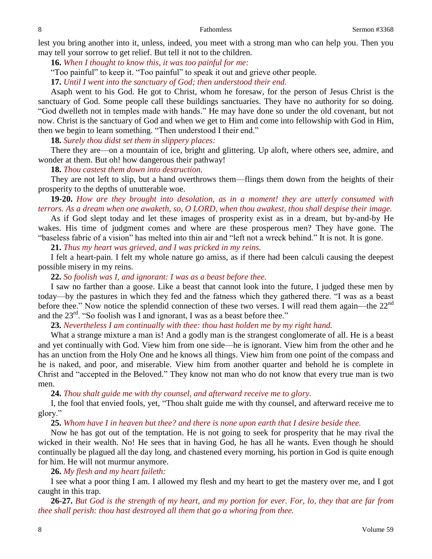lest you bring another into it, unless, indeed, you meet with a strong man who can help you. Then you may tell your sorrow to get relief. But tell it not to the children.

**16.** *When I thought to know this, it was too painful for me:*

"Too painful" to keep it. "Too painful" to speak it out and grieve other people.

**17.** *Until I went into the sanctuary of God; then understood their end.*

Asaph went to his God. He got to Christ, whom he foresaw, for the person of Jesus Christ is the sanctuary of God. Some people call these buildings sanctuaries. They have no authority for so doing. "God dwelleth not in temples made with hands." He may have done so under the old covenant, but not now. Christ is the sanctuary of God and when we get to Him and come into fellowship with God in Him, then we begin to learn something. "Then understood I their end."

**18.** *Surely thou didst set them in slippery places:*

There they are—on a mountain of ice, bright and glittering. Up aloft, where others see, admire, and wonder at them. But oh! how dangerous their pathway!

**18.** *Thou castest them down into destruction.*

They are not left to slip, but a hand overthrows them—flings them down from the heights of their prosperity to the depths of unutterable woe.

**19-20.** *How are they brought into desolation, as in a moment! they are utterly consumed with terrors. As a dream when one awaketh, so, O LORD, when thou awakest, thou shall despise their image.*

As if God slept today and let these images of prosperity exist as in a dream, but by-and-by He wakes. His time of judgment comes and where are these prosperous men? They have gone. The "baseless fabric of a vision" has melted into thin air and "left not a wreck behind." It is not. It is gone.

**21.** *Thus my heart was grieved, and I was pricked in my reins.*

I felt a heart-pain. I felt my whole nature go amiss, as if there had been calculi causing the deepest possible misery in my reins.

**22.** *So foolish was I, and ignorant: I was as a beast before thee.*

I saw no farther than a goose. Like a beast that cannot look into the future, I judged these men by today—by the pastures in which they fed and the fatness which they gathered there. "I was as a beast before thee." Now notice the splendid connection of these two verses. I will read them again—the 22<sup>nd</sup> and the 23<sup>rd</sup>. "So foolish was I and ignorant, I was as a beast before thee."

**23.** *Nevertheless I am continually with thee: thou hast holden me by my right hand.*

What a strange mixture a man is! And a godly man is the strangest conglomerate of all. He is a beast and yet continually with God. View him from one side—he is ignorant. View him from the other and he has an unction from the Holy One and he knows all things. View him from one point of the compass and he is naked, and poor, and miserable. View him from another quarter and behold he is complete in Christ and "accepted in the Beloved." They know not man who do not know that every true man is two men.

**24.** *Thou shalt guide me with thy counsel, and afterward receive me to glory.*

I, the fool that envied fools, yet, "Thou shalt guide me with thy counsel, and afterward receive me to glory."

**25.** *Whom have I in heaven but thee? and there is none upon earth that I desire beside thee.*

Now he has got out of the temptation. He is not going to seek for prosperity that he may rival the wicked in their wealth. No! He sees that in having God, he has all he wants. Even though he should continually be plagued all the day long, and chastened every morning, his portion in God is quite enough for him. He will not murmur anymore.

**26.** *My flesh and my heart faileth:*

I see what a poor thing I am. I allowed my flesh and my heart to get the mastery over me, and I got caught in this trap.

**26-27.** *But God is the strength of my heart, and my portion for ever. For, lo, they that are far from thee shall perish: thou hast destroyed all them that go a whoring from thee.*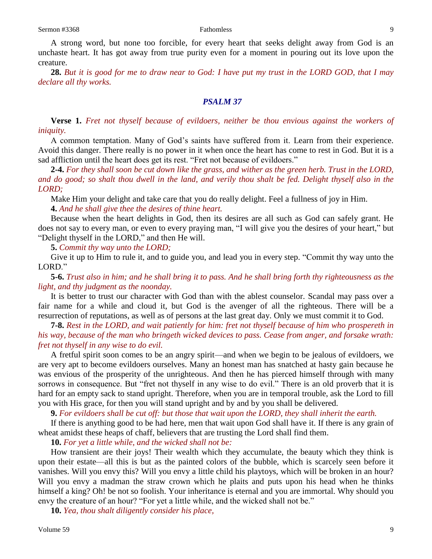A strong word, but none too forcible, for every heart that seeks delight away from God is an unchaste heart. It has got away from true purity even for a moment in pouring out its love upon the creature.

**28.** *But it is good for me to draw near to God: I have put my trust in the LORD GOD, that I may declare all thy works.*

### *PSALM 37*

**Verse 1.** *Fret not thyself because of evildoers, neither be thou envious against the workers of iniquity.*

A common temptation. Many of God's saints have suffered from it. Learn from their experience. Avoid this danger. There really is no power in it when once the heart has come to rest in God. But it is a sad affliction until the heart does get its rest. "Fret not because of evildoers."

**2-4.** *For they shall soon be cut down like the grass, and wither as the green herb. Trust in the LORD, and do good; so shalt thou dwell in the land, and verily thou shalt be fed. Delight thyself also in the LORD;*

Make Him your delight and take care that you do really delight. Feel a fullness of joy in Him.

**4.** *And he shall give thee the desires of thine heart.*

Because when the heart delights in God, then its desires are all such as God can safely grant. He does not say to every man, or even to every praying man, "I will give you the desires of your heart," but "Delight thyself in the LORD," and then He will.

**5.** *Commit thy way unto the LORD;*

Give it up to Him to rule it, and to guide you, and lead you in every step. "Commit thy way unto the LORD."

**5-6.** *Trust also in him; and he shall bring it to pass. And he shall bring forth thy righteousness as the light, and thy judgment as the noonday.*

It is better to trust our character with God than with the ablest counselor. Scandal may pass over a fair name for a while and cloud it, but God is the avenger of all the righteous. There will be a resurrection of reputations, as well as of persons at the last great day. Only we must commit it to God.

**7-8.** *Rest in the LORD, and wait patiently for him: fret not thyself because of him who prospereth in his way, because of the man who bringeth wicked devices to pass. Cease from anger, and forsake wrath: fret not thyself in any wise to do evil.*

A fretful spirit soon comes to be an angry spirit—and when we begin to be jealous of evildoers, we are very apt to become evildoers ourselves. Many an honest man has snatched at hasty gain because he was envious of the prosperity of the unrighteous. And then he has pierced himself through with many sorrows in consequence. But "fret not thyself in any wise to do evil." There is an old proverb that it is hard for an empty sack to stand upright. Therefore, when you are in temporal trouble, ask the Lord to fill you with His grace, for then you will stand upright and by and by you shall be delivered.

**9.** *For evildoers shall be cut off: but those that wait upon the LORD, they shall inherit the earth.*

If there is anything good to be had here, men that wait upon God shall have it. If there is any grain of wheat amidst these heaps of chaff, believers that are trusting the Lord shall find them.

**10.** *For yet a little while, and the wicked shall not be:*

How transient are their joys! Their wealth which they accumulate, the beauty which they think is upon their estate—all this is but as the painted colors of the bubble, which is scarcely seen before it vanishes. Will you envy this? Will you envy a little child his playtoys, which will be broken in an hour? Will you envy a madman the straw crown which he plaits and puts upon his head when he thinks himself a king? Oh! be not so foolish. Your inheritance is eternal and you are immortal. Why should you envy the creature of an hour? "For yet a little while, and the wicked shall not be."

**10.** *Yea, thou shalt diligently consider his place,*